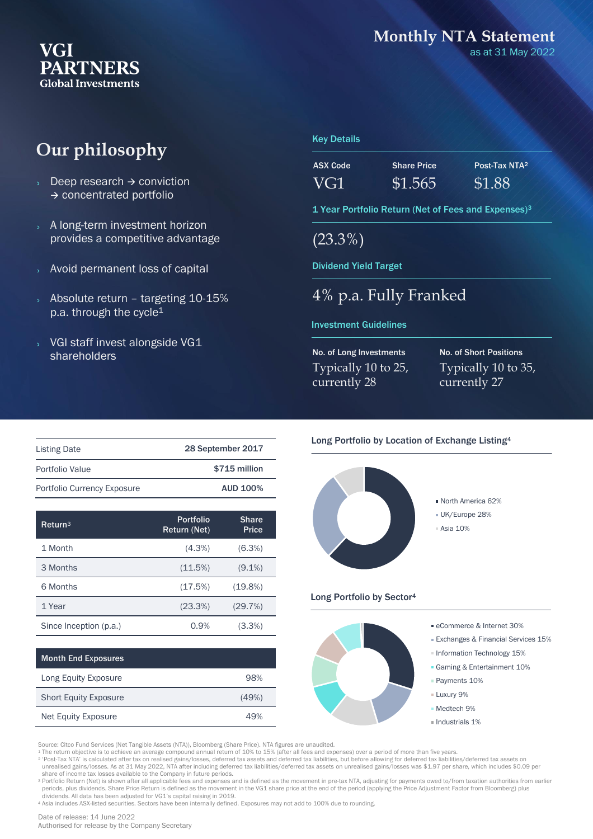#### **VGI PARTNERS Global Investments**

#### **Monthly NTA Statement**

as at 31 May 2022

## **Our philosophy**

- Deep research → conviction → concentrated portfolio
- A long-term investment horizon provides a competitive advantage
- Avoid permanent loss of capital
- Absolute return targeting 10-15% p.a. through the cycle<sup>1</sup>
- VGI staff invest alongside VG1 shareholders

#### Key Details

| ASX Code | <b>Share Price</b> | Post-Tax NTA <sup>2</sup> |
|----------|--------------------|---------------------------|
| VG1      | \$1.565            | \$1.88                    |

1 Year Portfolio Return (Net of Fees and Expenses)<sup>3</sup>

(23.3%)

Dividend Yield Target

#### 4% p.a. Fully Franked

#### Investment Guidelines

No. of Long Investments Typically 10 to 25, currently 28

No. of Short Positions Typically 10 to 35, currently 27

| <b>Listing Date</b>         | 28 September 2017 |  |  |
|-----------------------------|-------------------|--|--|
| Portfolio Value             | \$715 million     |  |  |
| Portfolio Currency Exposure | <b>AUD 100%</b>   |  |  |

| $R$ eturn $3$          | <b>Portfolio</b><br>Return (Net) | <b>Share</b><br>Price |
|------------------------|----------------------------------|-----------------------|
| 1 Month                | $(4.3\%)$                        | $(6.3\%)$             |
| 3 Months               | (11.5%)                          | $(9.1\%)$             |
| 6 Months               | (17.5%)                          | $(19.8\%)$            |
| 1 Year                 | (23.3%)                          | (29.7%)               |
| Since Inception (p.a.) | 0.9%                             | $(3.3\%)$             |

Long Equity Exposure **98%** Short Equity Exposure (49%) Net Equity Exposure 49%

|  |  | Long Portfolio by Location of Exchange Listing <sup>4</sup> |  |
|--|--|-------------------------------------------------------------|--|
|  |  |                                                             |  |



#### Long Portfolio by Sector<sup>4</sup>



Source: Citco Fund Services (Net Tangible Assets (NTA)), Bloomberg (Share Price). NTA figures are unaudited.<br>1 The return objective is to achieve an average compound annual return of 10% to 15% (after all fees and expenses

2 'Post-Tax NTA' is calculated after tax on realised gains/losses, deferred tax assets and deferred tax liabilities, but before allowing for deferred tax liabilities/deferred tax assets on unrealised gains/losses. As at 31 May 2022, NTA after including deferred tax liabilities/deferred tax assets on unrealised gains/losses was \$1.97 per share, which includes \$0.09 per share of income tax losses available to the Company in future periods.

<sup>3</sup> Portfolio Return (Net) is shown after all applicable fees and expenses and is defined as the movement in pre-tax NTA, adjusting for payments owed to/from taxation authorities from earlier<br>periods, plus dividends. Share

dividends. All data has been adjusted for VG1's capital raising in 2019. <sup>4</sup> Asia includes ASX-listed securities. Sectors have been internally defined. Exposures may not add to 100% due to rounding.

Date of release: 14 June 2022

Month End Exposures

Authorised for release by the Company Secretary